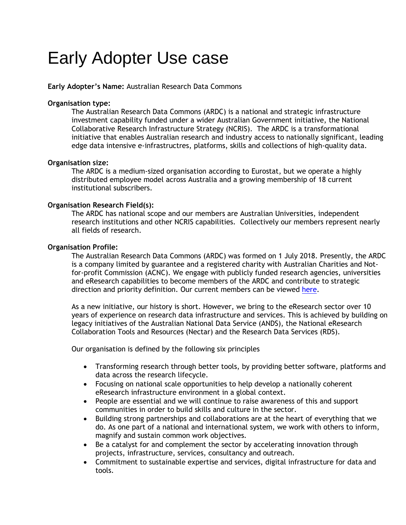# Early Adopter Use case

**Early Adopter's Name:** Australian Research Data Commons

## **Organisation type:**

The Australian Research Data Commons (ARDC) is a national and strategic infrastructure investment capability funded under a wider Australian Government initiative, the National Collaborative Research Infrastructure Strategy (NCRIS). The ARDC is a transformational initiative that enables Australian research and industry access to nationally significant, leading edge data intensive e-infrastructres, platforms, skills and collections of high-quality data.

# **Organisation size:**

The ARDC is a medium-sized organisation according to Eurostat, but we operate a highly distributed employee model across Australia and a growing membership of 18 current institutional subscribers.

## **Organisation Research Field(s):**

The ARDC has national scope and our members are Australian Universities, independent research institutions and other NCRIS capabilities. Collectively our members represent nearly all fields of research.

## **Organisation Profile:**

The Australian Research Data Commons (ARDC) was formed on 1 July 2018. Presently, the ARDC is a company limited by guarantee and a registered charity with Australian Charities and Notfor-profit Commission (ACNC). We engage with publicly funded research agencies, universities and eResearch capabilities to become members of the ARDC and contribute to strategic direction and priority definition. Our current members can be viewed [here.](https://ardc.edu.au/about_us/our-members/)

As a new initiative, our history is short. However, we bring to the eResearch sector over 10 years of experience on research data infrastructure and services. This is achieved by building on legacy initiatives of the Australian National Data Service (ANDS), the National eResearch Collaboration Tools and Resources (Nectar) and the Research Data Services (RDS).

Our organisation is defined by the following six principles

- Transforming research through better tools, by providing better software, platforms and data across the research lifecycle.
- Focusing on national scale opportunities to help develop a nationally coherent eResearch infrastructure environment in a global context.
- People are essential and we will continue to raise awareness of this and support communities in order to build skills and culture in the sector.
- Building strong partnerships and collaborations are at the heart of everything that we do. As one part of a national and international system, we work with others to inform, magnify and sustain common work objectives.
- Be a catalyst for and complement the sector by accelerating innovation through projects, infrastructure, services, consultancy and outreach.
- Commitment to sustainable expertise and services, digital infrastructure for data and tools.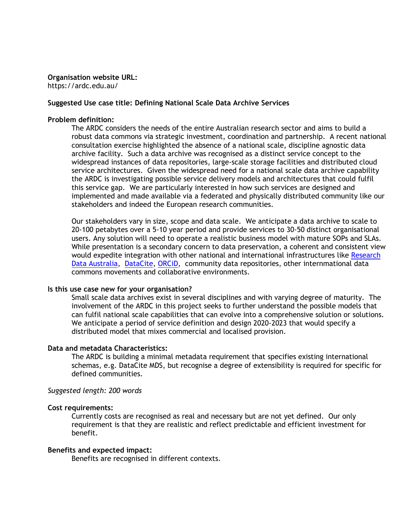**Organisation website URL:**  https://ardc.edu.au/

#### **Suggested Use case title: Defining National Scale Data Archive Services**

#### **Problem definition:**

The ARDC considers the needs of the entire Australian research sector and aims to build a robust data commons via strategic investment, coordination and partnership. A recent national consultation exercise highlighted the absence of a national scale, discipline agnostic data archive facility. Such a data archive was recognised as a distinct service concept to the widespread instances of data repositories, large-scale storage facilities and distributed cloud service architectures. Given the widespread need for a national scale data archive capability the ARDC is investigating possible service delivery models and architectures that could fulfil this service gap. We are particularly interested in how such services are designed and implemented and made available via a federated and physically distributed community like our stakeholders and indeed the European research communities.

Our stakeholders vary in size, scope and data scale. We anticipate a data archive to scale to 20-100 petabytes over a 5-10 year period and provide services to 30-50 distinct organisational users. Any solution will need to operate a realistic business model with mature SOPs and SLAs. While presentation is a secondary concern to data preservation, a coherent and consistent view would expedite integration with other national and international infrastructures like [Research](https://researchdata.edu.au/)  [Data Australia,](https://researchdata.edu.au/) [DataCite,](https://datacite.org/) [ORCiD,](https://orcid.org/) community data repositories, other internmational data commons movements and collaborative environments.

#### **Is this use case new for your organisation?**

Small scale data archives exist in several disciplines and with varying degree of maturity. The involvement of the ARDC in this project seeks to further understand the possible models that can fulfil national scale capabilities that can evolve into a comprehensive solution or solutions. We anticipate a period of service definition and design 2020-2023 that would specify a distributed model that mixes commercial and localised provision.

### **Data and metadata Characteristics:**

The ARDC is building a minimal metadata requirement that specifies existing international schemas, e.g. DataCite MDS, but recognise a degree of extensibility is required for specific for defined communities.

#### *Suggested length: 200 words*

#### **Cost requirements:**

Currently costs are recognised as real and necessary but are not yet defined. Our only requirement is that they are realistic and reflect predictable and efficient investment for benefit.

#### **Benefits and expected impact:**

Benefits are recognised in different contexts.